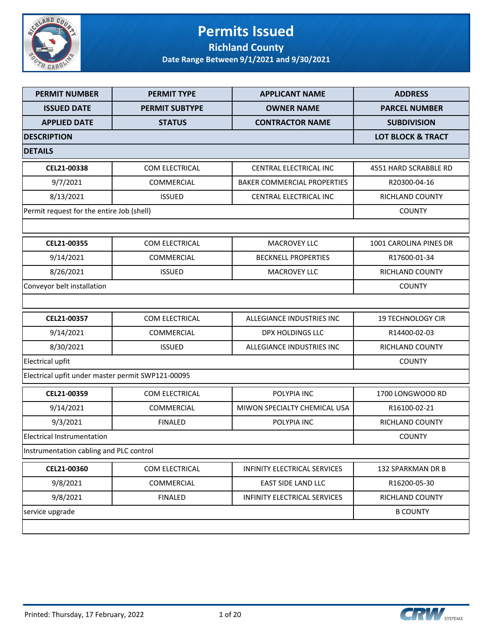

### **Permits Issued Richland County**

| <b>PERMIT NUMBER</b>                              | <b>PERMIT TYPE</b>    | <b>APPLICANT NAME</b>              | <b>ADDRESS</b>               |
|---------------------------------------------------|-----------------------|------------------------------------|------------------------------|
| <b>ISSUED DATE</b>                                | <b>PERMIT SUBTYPE</b> | <b>OWNER NAME</b>                  | <b>PARCEL NUMBER</b>         |
| <b>APPLIED DATE</b>                               | <b>STATUS</b>         | <b>CONTRACTOR NAME</b>             | <b>SUBDIVISION</b>           |
| <b>DESCRIPTION</b>                                |                       |                                    | <b>LOT BLOCK &amp; TRACT</b> |
| <b>DETAILS</b>                                    |                       |                                    |                              |
| CEL21-00338                                       | COM ELECTRICAL        | CENTRAL ELECTRICAL INC             | 4551 HARD SCRABBLE RD        |
| 9/7/2021                                          | <b>COMMERCIAL</b>     | <b>BAKER COMMERCIAL PROPERTIES</b> | R20300-04-16                 |
| 8/13/2021                                         | <b>ISSUED</b>         | CENTRAL ELECTRICAL INC             | RICHLAND COUNTY              |
| Permit request for the entire Job (shell)         |                       |                                    | <b>COUNTY</b>                |
|                                                   |                       |                                    |                              |
| CEL21-00355                                       | <b>COM ELECTRICAL</b> | <b>MACROVEY LLC</b>                | 1001 CAROLINA PINES DR       |
| 9/14/2021                                         | COMMERCIAL            | <b>BECKNELL PROPERTIES</b>         | R17600-01-34                 |
| 8/26/2021                                         | <b>ISSUED</b>         | <b>MACROVEY LLC</b>                | RICHLAND COUNTY              |
| Conveyor belt installation                        |                       |                                    | <b>COUNTY</b>                |
|                                                   |                       |                                    |                              |
| CEL21-00357                                       | <b>COM ELECTRICAL</b> | ALLEGIANCE INDUSTRIES INC          | <b>19 TECHNOLOGY CIR</b>     |
| 9/14/2021                                         | COMMERCIAL            | <b>DPX HOLDINGS LLC</b>            | R14400-02-03                 |
| 8/30/2021                                         | <b>ISSUED</b>         | ALLEGIANCE INDUSTRIES INC          | RICHLAND COUNTY              |
| Electrical upfit                                  |                       |                                    | <b>COUNTY</b>                |
| Electrical upfit under master permit SWP121-00095 |                       |                                    |                              |
| CEL21-00359                                       | <b>COM ELECTRICAL</b> | POLYPIA INC                        | 1700 LONGWOOD RD             |
| 9/14/2021                                         | COMMERCIAL            | MIWON SPECIALTY CHEMICAL USA       | R16100-02-21                 |
| 9/3/2021                                          | <b>FINALED</b>        | POLYPIA INC                        | RICHLAND COUNTY              |
| <b>Electrical Instrumentation</b>                 |                       |                                    | <b>COUNTY</b>                |
| Instrumentation cabling and PLC control           |                       |                                    |                              |
| CEL21-00360                                       | COM ELECTRICAL        | INFINITY ELECTRICAL SERVICES       | 132 SPARKMAN DR B            |
| 9/8/2021                                          | COMMERCIAL            | EAST SIDE LAND LLC                 | R16200-05-30                 |
| 9/8/2021                                          | <b>FINALED</b>        | INFINITY ELECTRICAL SERVICES       | RICHLAND COUNTY              |
| service upgrade                                   |                       |                                    | <b>B COUNTY</b>              |
|                                                   |                       |                                    |                              |

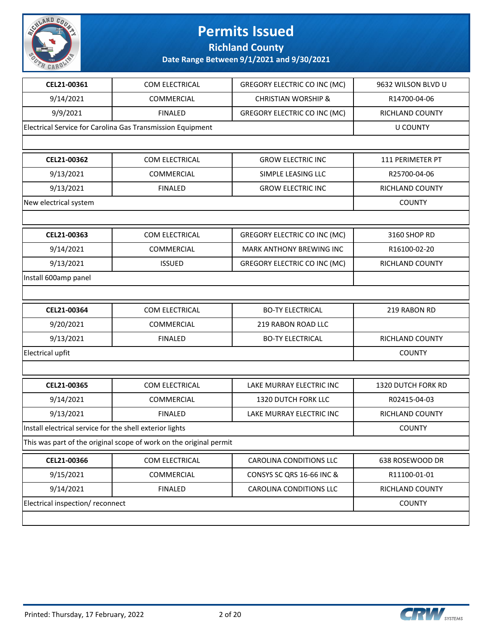

**Richland County**

| CEL21-00361                                              | COM ELECTRICAL                                                     | <b>GREGORY ELECTRIC CO INC (MC)</b> | 9632 WILSON BLVD U     |
|----------------------------------------------------------|--------------------------------------------------------------------|-------------------------------------|------------------------|
| 9/14/2021                                                | COMMERCIAL                                                         | <b>CHRISTIAN WORSHIP &amp;</b>      | R14700-04-06           |
| 9/9/2021                                                 | <b>FINALED</b>                                                     | <b>GREGORY ELECTRIC CO INC (MC)</b> | RICHLAND COUNTY        |
|                                                          | Electrical Service for Carolina Gas Transmission Equipment         |                                     | <b>U COUNTY</b>        |
|                                                          |                                                                    |                                     |                        |
| CEL21-00362                                              | COM ELECTRICAL                                                     | <b>GROW ELECTRIC INC</b>            | 111 PERIMETER PT       |
| 9/13/2021                                                | COMMERCIAL                                                         | SIMPLE LEASING LLC                  | R25700-04-06           |
| 9/13/2021                                                | <b>FINALED</b>                                                     | <b>GROW ELECTRIC INC</b>            | RICHLAND COUNTY        |
| New electrical system                                    |                                                                    |                                     | <b>COUNTY</b>          |
|                                                          |                                                                    |                                     |                        |
| CEL21-00363                                              | COM ELECTRICAL                                                     | <b>GREGORY ELECTRIC CO INC (MC)</b> | 3160 SHOP RD           |
| 9/14/2021                                                | COMMERCIAL                                                         | <b>MARK ANTHONY BREWING INC</b>     | R16100-02-20           |
| 9/13/2021                                                | <b>ISSUED</b>                                                      | <b>GREGORY ELECTRIC CO INC (MC)</b> | <b>RICHLAND COUNTY</b> |
| Install 600amp panel                                     |                                                                    |                                     |                        |
|                                                          |                                                                    |                                     |                        |
| CEL21-00364                                              | COM ELECTRICAL                                                     | <b>BO-TY ELECTRICAL</b>             | 219 RABON RD           |
| 9/20/2021                                                | COMMERCIAL                                                         | <b>219 RABON ROAD LLC</b>           |                        |
| 9/13/2021                                                | <b>FINALED</b>                                                     | <b>BO-TY ELECTRICAL</b>             | RICHLAND COUNTY        |
| <b>Electrical upfit</b>                                  |                                                                    |                                     | <b>COUNTY</b>          |
|                                                          |                                                                    |                                     |                        |
| CEL21-00365                                              | COM ELECTRICAL                                                     | LAKE MURRAY ELECTRIC INC            | 1320 DUTCH FORK RD     |
| 9/14/2021                                                | COMMERCIAL                                                         | 1320 DUTCH FORK LLC                 | R02415-04-03           |
| 9/13/2021                                                | <b>FINALED</b>                                                     | LAKE MURRAY ELECTRIC INC            | RICHLAND COUNTY        |
| Install electrical service for the shell exterior lights |                                                                    |                                     | <b>COUNTY</b>          |
|                                                          | This was part of the original scope of work on the original permit |                                     |                        |
| CEL21-00366                                              | COM ELECTRICAL                                                     | <b>CAROLINA CONDITIONS LLC</b>      | 638 ROSEWOOD DR        |
| 9/15/2021                                                | COMMERCIAL                                                         | CONSYS SC QRS 16-66 INC &           | R11100-01-01           |
| 9/14/2021                                                | <b>FINALED</b>                                                     | CAROLINA CONDITIONS LLC             | RICHLAND COUNTY        |
| Electrical inspection/reconnect                          |                                                                    |                                     | <b>COUNTY</b>          |
|                                                          |                                                                    |                                     |                        |

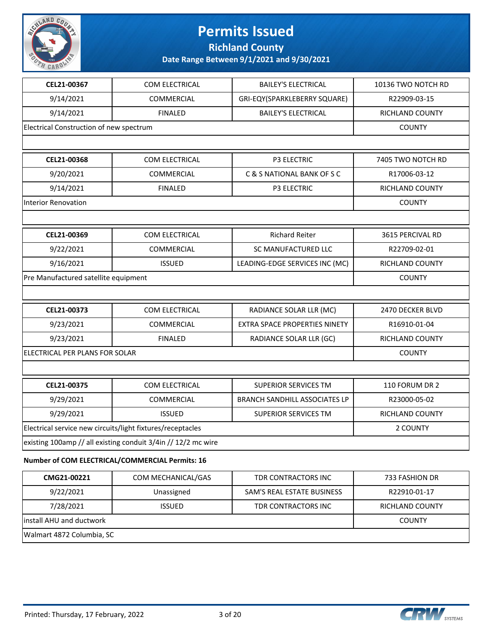

**Richland County**

**Date Range Between 9/1/2021 and 9/30/2021**

| CEL21-00367                                                | <b>COM ELECTRICAL</b>                                         | <b>BAILEY'S ELECTRICAL</b>           | 10136 TWO NOTCH RD     |
|------------------------------------------------------------|---------------------------------------------------------------|--------------------------------------|------------------------|
| 9/14/2021                                                  | COMMERCIAL                                                    | GRI-EQY(SPARKLEBERRY SQUARE)         | R22909-03-15           |
| 9/14/2021                                                  | <b>FINALED</b>                                                | <b>BAILEY'S ELECTRICAL</b>           | <b>RICHLAND COUNTY</b> |
| Electrical Construction of new spectrum                    |                                                               |                                      | <b>COUNTY</b>          |
|                                                            |                                                               |                                      |                        |
| CEL21-00368                                                | COM ELECTRICAL                                                | <b>P3 ELECTRIC</b>                   | 7405 TWO NOTCH RD      |
| 9/20/2021                                                  | <b>COMMERCIAL</b>                                             | C & S NATIONAL BANK OF S C           | R17006-03-12           |
| 9/14/2021                                                  | <b>FINALED</b>                                                | <b>P3 ELECTRIC</b>                   | RICHLAND COUNTY        |
| Interior Renovation                                        |                                                               |                                      | <b>COUNTY</b>          |
|                                                            |                                                               |                                      |                        |
| CEL21-00369                                                | COM ELECTRICAL                                                | <b>Richard Reiter</b>                | 3615 PERCIVAL RD       |
| 9/22/2021                                                  | COMMERCIAL                                                    | SC MANUFACTURED LLC                  | R22709-02-01           |
| 9/16/2021                                                  | <b>ISSUED</b>                                                 | LEADING-EDGE SERVICES INC (MC)       | RICHLAND COUNTY        |
| Pre Manufactured satellite equipment                       |                                                               |                                      | <b>COUNTY</b>          |
|                                                            |                                                               |                                      |                        |
| CEL21-00373                                                | COM ELECTRICAL                                                | RADIANCE SOLAR LLR (MC)              | 2470 DECKER BLVD       |
| 9/23/2021                                                  | COMMERCIAL                                                    | <b>EXTRA SPACE PROPERTIES NINETY</b> | R16910-01-04           |
| 9/23/2021                                                  | <b>FINALED</b>                                                | RADIANCE SOLAR LLR (GC)              | RICHLAND COUNTY        |
| ELECTRICAL PER PLANS FOR SOLAR                             |                                                               |                                      | <b>COUNTY</b>          |
|                                                            |                                                               |                                      |                        |
| CEL21-00375                                                | COM ELECTRICAL                                                | <b>SUPERIOR SERVICES TM</b>          | 110 FORUM DR 2         |
| 9/29/2021                                                  | <b>COMMERCIAL</b>                                             | <b>BRANCH SANDHILL ASSOCIATES LP</b> | R23000-05-02           |
| 9/29/2021                                                  | <b>ISSUED</b>                                                 | <b>SUPERIOR SERVICES TM</b>          | RICHLAND COUNTY        |
| Electrical service new circuits/light fixtures/receptacles | 2 COUNTY                                                      |                                      |                        |
|                                                            | existing 100amp // all existing conduit 3/4in // 12/2 mc wire |                                      |                        |
|                                                            | Number of COM ELECTRICAL/COMMERCIAL Permits: 16               |                                      |                        |
| CMG21-00221                                                | COM MECHANICAL/GAS                                            | TDR CONTRACTORS INC                  | 733 FASHION DR         |
| 9/22/2021                                                  | Unassigned                                                    | SAM'S REAL ESTATE BUSINESS           | R22910-01-17           |

**install AHU and ductwork** COUNTY Walmart 4872 Columbia, SC

7/28/2021 ISSUED TDR CONTRACTORS INC RICHLAND COUNTY

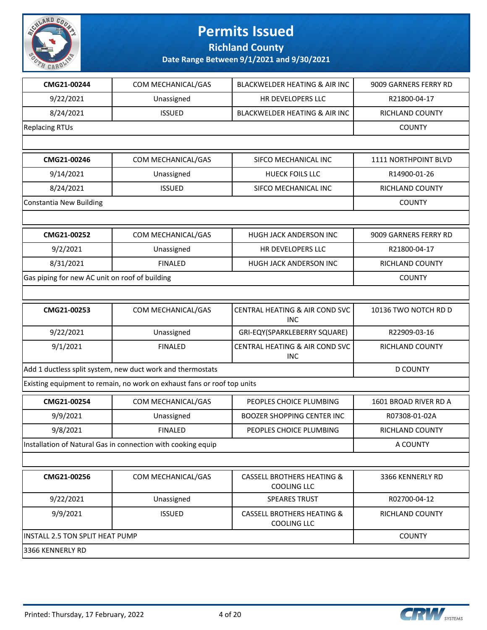

**Richland County**

| CMG21-00244                                                | COM MECHANICAL/GAS                                                      | <b>BLACKWELDER HEATING &amp; AIR INC</b>                    | 9009 GARNERS FERRY RD |
|------------------------------------------------------------|-------------------------------------------------------------------------|-------------------------------------------------------------|-----------------------|
| 9/22/2021                                                  | Unassigned                                                              | HR DEVELOPERS LLC                                           | R21800-04-17          |
| 8/24/2021                                                  | <b>ISSUED</b>                                                           | <b>BLACKWELDER HEATING &amp; AIR INC</b>                    | RICHLAND COUNTY       |
| <b>Replacing RTUs</b>                                      |                                                                         |                                                             | <b>COUNTY</b>         |
|                                                            |                                                                         |                                                             |                       |
| CMG21-00246                                                | COM MECHANICAL/GAS                                                      | SIFCO MECHANICAL INC                                        | 1111 NORTHPOINT BLVD  |
| 9/14/2021                                                  | Unassigned                                                              | <b>HUECK FOILS LLC</b>                                      | R14900-01-26          |
| 8/24/2021                                                  | <b>ISSUED</b>                                                           | SIFCO MECHANICAL INC                                        | RICHLAND COUNTY       |
| <b>Constantia New Building</b>                             |                                                                         |                                                             | <b>COUNTY</b>         |
|                                                            |                                                                         |                                                             |                       |
| CMG21-00252                                                | COM MECHANICAL/GAS                                                      | HUGH JACK ANDERSON INC                                      | 9009 GARNERS FERRY RD |
| 9/2/2021                                                   | Unassigned                                                              | HR DEVELOPERS LLC                                           | R21800-04-17          |
| 8/31/2021                                                  | <b>FINALED</b>                                                          | HUGH JACK ANDERSON INC                                      | RICHLAND COUNTY       |
| Gas piping for new AC unit on roof of building             |                                                                         |                                                             | <b>COUNTY</b>         |
|                                                            |                                                                         |                                                             |                       |
| CMG21-00253                                                | COM MECHANICAL/GAS                                                      | CENTRAL HEATING & AIR COND SVC<br><b>INC</b>                | 10136 TWO NOTCH RD D  |
| 9/22/2021                                                  | Unassigned                                                              | GRI-EQY(SPARKLEBERRY SQUARE)                                | R22909-03-16          |
| 9/1/2021                                                   | <b>FINALED</b>                                                          | CENTRAL HEATING & AIR COND SVC<br><b>INC</b>                | RICHLAND COUNTY       |
| Add 1 ductless split system, new duct work and thermostats | <b>D COUNTY</b>                                                         |                                                             |                       |
|                                                            | Existing equipment to remain, no work on exhaust fans or roof top units |                                                             |                       |
| CMG21-00254                                                | COM MECHANICAL/GAS                                                      | PEOPLES CHOICE PLUMBING                                     | 1601 BROAD RIVER RD A |
| 9/9/2021                                                   | Unassigned                                                              | <b>BOOZER SHOPPING CENTER INC</b>                           | R07308-01-02A         |
| 9/8/2021                                                   | <b>FINALED</b>                                                          | PEOPLES CHOICE PLUMBING                                     | RICHLAND COUNTY       |
|                                                            | Installation of Natural Gas in connection with cooking equip            |                                                             | A COUNTY              |
|                                                            |                                                                         |                                                             |                       |
| CMG21-00256                                                | COM MECHANICAL/GAS                                                      | <b>CASSELL BROTHERS HEATING &amp;</b><br><b>COOLING LLC</b> | 3366 KENNERLY RD      |
| 9/22/2021                                                  | Unassigned                                                              | <b>SPEARES TRUST</b>                                        | R02700-04-12          |
| 9/9/2021                                                   | <b>ISSUED</b>                                                           | <b>CASSELL BROTHERS HEATING &amp;</b><br><b>COOLING LLC</b> | RICHLAND COUNTY       |
| INSTALL 2.5 TON SPLIT HEAT PUMP                            | <b>COUNTY</b>                                                           |                                                             |                       |
| 3366 KENNERLY RD                                           |                                                                         |                                                             |                       |

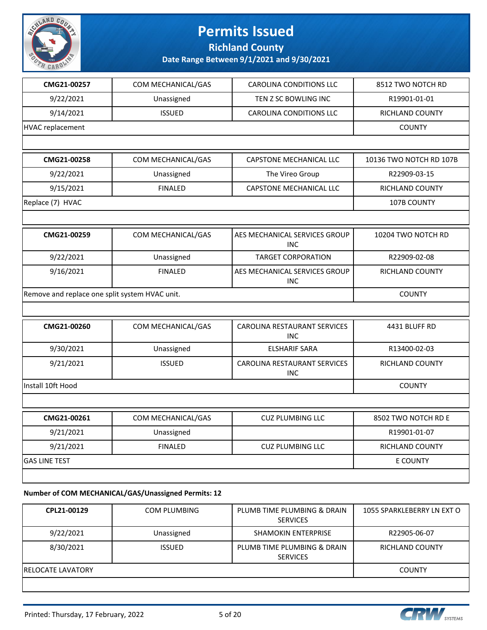

**Richland County**

**Date Range Between 9/1/2021 and 9/30/2021**

| CMG21-00257                                    | COM MECHANICAL/GAS | CAROLINA CONDITIONS LLC                     | 8512 TWO NOTCH RD       |
|------------------------------------------------|--------------------|---------------------------------------------|-------------------------|
| 9/22/2021                                      | Unassigned         | TEN Z SC BOWLING INC                        | R19901-01-01            |
| 9/14/2021                                      | <b>ISSUED</b>      | CAROLINA CONDITIONS LLC                     | RICHLAND COUNTY         |
| <b>HVAC</b> replacement                        |                    |                                             | <b>COUNTY</b>           |
|                                                |                    |                                             |                         |
| CMG21-00258                                    | COM MECHANICAL/GAS | CAPSTONE MECHANICAL LLC                     | 10136 TWO NOTCH RD 107B |
| 9/22/2021                                      | Unassigned         | The Vireo Group                             | R22909-03-15            |
| 9/15/2021                                      | <b>FINALED</b>     | CAPSTONE MECHANICAL LLC                     | RICHLAND COUNTY         |
| Replace (7) HVAC                               |                    |                                             | 107B COUNTY             |
|                                                |                    |                                             |                         |
| CMG21-00259                                    | COM MECHANICAL/GAS | AES MECHANICAL SERVICES GROUP<br><b>INC</b> | 10204 TWO NOTCH RD      |
| 9/22/2021                                      | Unassigned         | <b>TARGET CORPORATION</b>                   | R22909-02-08            |
| 9/16/2021                                      | <b>FINALED</b>     | AES MECHANICAL SERVICES GROUP<br><b>INC</b> | RICHLAND COUNTY         |
| Remove and replace one split system HVAC unit. | <b>COUNTY</b>      |                                             |                         |
|                                                |                    |                                             |                         |
| CMG21-00260                                    | COM MECHANICAL/GAS | CAROLINA RESTAURANT SERVICES<br><b>INC</b>  | 4431 BLUFF RD           |
| 9/30/2021                                      | Unassigned         | <b>ELSHARIF SARA</b>                        | R13400-02-03            |
| 9/21/2021                                      | <b>ISSUED</b>      | CAROLINA RESTAURANT SERVICES<br><b>INC</b>  | RICHLAND COUNTY         |
| Install 10ft Hood                              |                    |                                             | <b>COUNTY</b>           |
|                                                |                    |                                             |                         |
| CMG21-00261                                    | COM MECHANICAL/GAS | <b>CUZ PLUMBING LLC</b>                     | 8502 TWO NOTCH RD E     |
| 9/21/2021                                      | Unassigned         |                                             | R19901-01-07            |
| 9/21/2021                                      | <b>FINALED</b>     | <b>CUZ PLUMBING LLC</b>                     | RICHLAND COUNTY         |
| <b>GAS LINE TEST</b>                           |                    |                                             | E COUNTY                |
|                                                |                    |                                             |                         |
|                                                |                    |                                             |                         |

#### **Number of COM MECHANICAL/GAS/Unassigned Permits: 12**

| CPL21-00129              | <b>COM PLUMBING</b> | PLUMB TIME PLUMBING & DRAIN<br><b>SERVICES</b> | 1055 SPARKLEBERRY LN EXT O |
|--------------------------|---------------------|------------------------------------------------|----------------------------|
| 9/22/2021                | Unassigned          | <b>SHAMOKIN ENTERPRISE</b>                     | R22905-06-07               |
| 8/30/2021                | <b>ISSUED</b>       | PLUMB TIME PLUMBING & DRAIN<br><b>SERVICES</b> | RICHLAND COUNTY            |
| <b>RELOCATE LAVATORY</b> |                     |                                                | <b>COUNTY</b>              |
|                          |                     |                                                |                            |

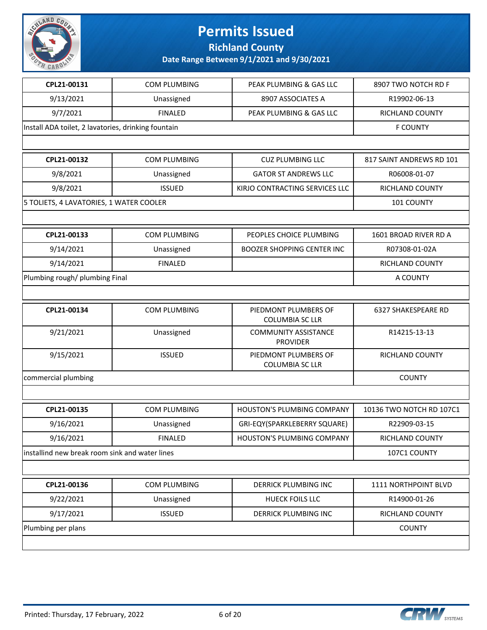

**Richland County**

| CPL21-00131                                         | COM PLUMBING        | PEAK PLUMBING & GAS LLC                        | 8907 TWO NOTCH RD F      |
|-----------------------------------------------------|---------------------|------------------------------------------------|--------------------------|
| 9/13/2021                                           | Unassigned          | 8907 ASSOCIATES A                              | R19902-06-13             |
| 9/7/2021                                            | <b>FINALED</b>      | PEAK PLUMBING & GAS LLC                        | RICHLAND COUNTY          |
| Install ADA toilet, 2 lavatories, drinking fountain |                     |                                                | <b>F COUNTY</b>          |
|                                                     |                     |                                                |                          |
| CPL21-00132                                         | <b>COM PLUMBING</b> | <b>CUZ PLUMBING LLC</b>                        | 817 SAINT ANDREWS RD 101 |
| 9/8/2021                                            | Unassigned          | <b>GATOR ST ANDREWS LLC</b>                    | R06008-01-07             |
| 9/8/2021                                            | <b>ISSUED</b>       | KIRJO CONTRACTING SERVICES LLC                 | <b>RICHLAND COUNTY</b>   |
| 5 TOLIETS, 4 LAVATORIES, 1 WATER COOLER             |                     |                                                | 101 COUNTY               |
|                                                     |                     |                                                |                          |
| CPL21-00133                                         | COM PLUMBING        | PEOPLES CHOICE PLUMBING                        | 1601 BROAD RIVER RD A    |
| 9/14/2021                                           | Unassigned          | <b>BOOZER SHOPPING CENTER INC</b>              | R07308-01-02A            |
| 9/14/2021                                           | <b>FINALED</b>      |                                                | RICHLAND COUNTY          |
| Plumbing rough/ plumbing Final                      |                     |                                                | A COUNTY                 |
|                                                     |                     |                                                |                          |
| CPL21-00134                                         | <b>COM PLUMBING</b> | PIEDMONT PLUMBERS OF<br><b>COLUMBIA SC LLR</b> | 6327 SHAKESPEARE RD      |
| 9/21/2021                                           | Unassigned          | <b>COMMUNITY ASSISTANCE</b><br><b>PROVIDER</b> | R14215-13-13             |
| 9/15/2021                                           | <b>ISSUED</b>       | PIEDMONT PLUMBERS OF<br><b>COLUMBIA SC LLR</b> | RICHLAND COUNTY          |
| commercial plumbing                                 |                     |                                                | <b>COUNTY</b>            |
|                                                     |                     |                                                |                          |
| CPL21-00135                                         | COM PLUMBING        | <b>HOUSTON'S PLUMBING COMPANY</b>              | 10136 TWO NOTCH RD 107C1 |
| 9/16/2021                                           | Unassigned          | GRI-EQY(SPARKLEBERRY SQUARE)                   | R22909-03-15             |
| 9/16/2021                                           | <b>FINALED</b>      | HOUSTON'S PLUMBING COMPANY                     | RICHLAND COUNTY          |
| installind new break room sink and water lines      |                     |                                                | 107C1 COUNTY             |
|                                                     |                     |                                                |                          |
| CPL21-00136                                         | COM PLUMBING        | DERRICK PLUMBING INC                           | 1111 NORTHPOINT BLVD     |
| 9/22/2021                                           | Unassigned          | <b>HUECK FOILS LLC</b>                         | R14900-01-26             |
| 9/17/2021                                           | <b>ISSUED</b>       | DERRICK PLUMBING INC                           | RICHLAND COUNTY          |
| Plumbing per plans                                  | <b>COUNTY</b>       |                                                |                          |
|                                                     |                     |                                                |                          |

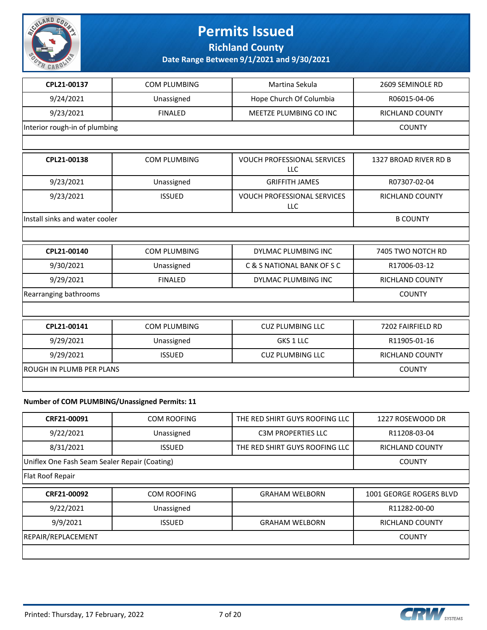

**Richland County**

**Date Range Between 9/1/2021 and 9/30/2021**

| CPL21-00137                     | COM PLUMBING        | Martina Sekula                                   | 2609 SEMINOLE RD       |
|---------------------------------|---------------------|--------------------------------------------------|------------------------|
| 9/24/2021                       | Unassigned          | Hope Church Of Columbia                          | R06015-04-06           |
| 9/23/2021                       | <b>FINALED</b>      | MEETZE PLUMBING CO INC                           | RICHLAND COUNTY        |
| Interior rough-in of plumbing   |                     |                                                  | <b>COUNTY</b>          |
|                                 |                     |                                                  |                        |
| CPL21-00138                     | <b>COM PLUMBING</b> | <b>VOUCH PROFESSIONAL SERVICES</b><br>LLC        | 1327 BROAD RIVER RD B  |
| 9/23/2021                       | Unassigned          | <b>GRIFFITH JAMES</b>                            | R07307-02-04           |
| 9/23/2021                       | <b>ISSUED</b>       | <b>VOUCH PROFESSIONAL SERVICES</b><br><b>LLC</b> | RICHLAND COUNTY        |
| Install sinks and water cooler  |                     |                                                  | <b>B COUNTY</b>        |
|                                 |                     |                                                  |                        |
| CPL21-00140                     | <b>COM PLUMBING</b> | DYLMAC PLUMBING INC                              | 7405 TWO NOTCH RD      |
| 9/30/2021                       | Unassigned          | C & S NATIONAL BANK OF S C                       | R17006-03-12           |
| 9/29/2021                       | <b>FINALED</b>      | DYLMAC PLUMBING INC                              | <b>RICHLAND COUNTY</b> |
| Rearranging bathrooms           |                     |                                                  | <b>COUNTY</b>          |
|                                 |                     |                                                  |                        |
| CPL21-00141                     | <b>COM PLUMBING</b> | <b>CUZ PLUMBING LLC</b>                          | 7202 FAIRFIELD RD      |
| 9/29/2021                       | Unassigned          | GKS 1 LLC                                        | R11905-01-16           |
| 9/29/2021                       | <b>ISSUED</b>       | <b>CUZ PLUMBING LLC</b>                          | <b>RICHLAND COUNTY</b> |
| <b>ROUGH IN PLUMB PER PLANS</b> |                     |                                                  | <b>COUNTY</b>          |
|                                 |                     |                                                  |                        |

#### **Number of COM PLUMBING/Unassigned Permits: 11**

| CRF21-00091                                   | COM ROOFING        | THE RED SHIRT GUYS ROOFING LLC | 1227 ROSEWOOD DR        |
|-----------------------------------------------|--------------------|--------------------------------|-------------------------|
| 9/22/2021                                     | Unassigned         | <b>C3M PROPERTIES LLC</b>      | R11208-03-04            |
| 8/31/2021                                     | <b>ISSUED</b>      | THE RED SHIRT GUYS ROOFING LLC | <b>RICHLAND COUNTY</b>  |
| Uniflex One Fash Seam Sealer Repair (Coating) |                    |                                | <b>COUNTY</b>           |
| Flat Roof Repair                              |                    |                                |                         |
| CRF21-00092                                   | <b>COM ROOFING</b> | <b>GRAHAM WELBORN</b>          | 1001 GEORGE ROGERS BLVD |
| 9/22/2021                                     | Unassigned         |                                | R11282-00-00            |
| 9/9/2021                                      | <b>ISSUED</b>      | <b>GRAHAM WELBORN</b>          | <b>RICHLAND COUNTY</b>  |
| REPAIR/REPLACEMENT                            |                    |                                | <b>COUNTY</b>           |
|                                               |                    |                                |                         |

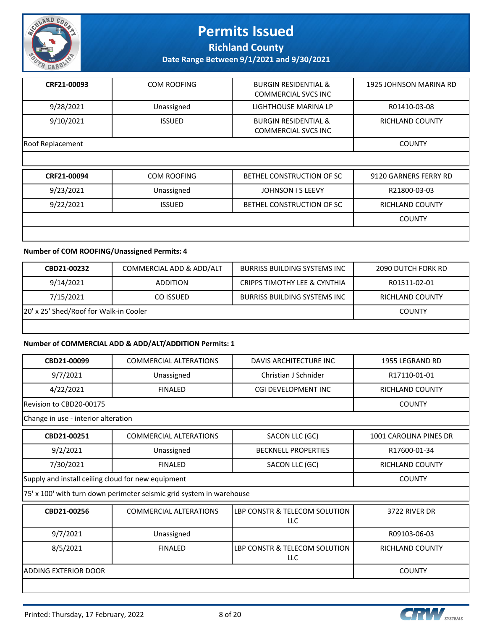

**Richland County**

**Date Range Between 9/1/2021 and 9/30/2021**

| CRF21-00093      | COM ROOFING   | <b>BURGIN RESIDENTIAL &amp;</b><br><b>COMMERCIAL SVCS INC</b> | 1925 JOHNSON MARINA RD |
|------------------|---------------|---------------------------------------------------------------|------------------------|
| 9/28/2021        | Unassigned    | LIGHTHOUSE MARINA LP                                          | R01410-03-08           |
| 9/10/2021        | <b>ISSUED</b> | <b>BURGIN RESIDENTIAL &amp;</b><br><b>COMMERCIAL SVCS INC</b> | RICHLAND COUNTY        |
| Roof Replacement |               |                                                               | <b>COUNTY</b>          |
|                  |               |                                                               |                        |

| CRF21-00094 | COM ROOFING   | BETHEL CONSTRUCTION OF SC | 9120 GARNERS FERRY RD  |
|-------------|---------------|---------------------------|------------------------|
| 9/23/2021   | Unassigned    | JOHNSON I S LEEVY         | R21800-03-03           |
| 9/22/2021   | <b>ISSUED</b> | BETHEL CONSTRUCTION OF SC | <b>RICHLAND COUNTY</b> |
|             |               |                           | <b>COUNTY</b>          |
|             |               |                           |                        |

#### **Number of COM ROOFING/Unassigned Permits: 4**

| CBD21-00232                            | COMMERCIAL ADD & ADD/ALT | <b>BURRISS BUILDING SYSTEMS INC</b>     | <b>2090 DUTCH FORK RD</b> |
|----------------------------------------|--------------------------|-----------------------------------------|---------------------------|
| 9/14/2021                              | <b>ADDITION</b>          | <b>CRIPPS TIMOTHY LEE &amp; CYNTHIA</b> | R01511-02-01              |
| 7/15/2021                              | CO ISSUED                | <b>BURRISS BUILDING SYSTEMS INC</b>     | RICHLAND COUNTY           |
| 20' x 25' Shed/Roof for Walk-in Cooler |                          |                                         | <b>COUNTY</b>             |
|                                        |                          |                                         |                           |

#### **Number of COMMERCIAL ADD & ADD/ALT/ADDITION Permits: 1**

| CBD21-00099                                        | <b>COMMERCIAL ALTERATIONS</b>                                        | DAVIS ARCHITECTURE INC                      | 1955 LEGRAND RD        |
|----------------------------------------------------|----------------------------------------------------------------------|---------------------------------------------|------------------------|
| 9/7/2021                                           | Unassigned                                                           | Christian J Schnider                        | R17110-01-01           |
| 4/22/2021                                          | <b>FINALED</b>                                                       | CGI DEVELOPMENT INC                         | <b>RICHLAND COUNTY</b> |
| Revision to CBD20-00175                            |                                                                      |                                             | <b>COUNTY</b>          |
| Change in use - interior alteration                |                                                                      |                                             |                        |
| CBD21-00251                                        | <b>COMMERCIAL ALTERATIONS</b>                                        | SACON LLC (GC)                              | 1001 CAROLINA PINES DR |
| 9/2/2021                                           | Unassigned                                                           | <b>BECKNELL PROPERTIES</b>                  | R17600-01-34           |
| 7/30/2021                                          | <b>FINALED</b>                                                       | SACON LLC (GC)                              | <b>RICHLAND COUNTY</b> |
| Supply and install ceiling cloud for new equipment | <b>COUNTY</b>                                                        |                                             |                        |
|                                                    | 75' x 100' with turn down perimeter seismic grid system in warehouse |                                             |                        |
| CBD21-00256                                        | <b>COMMERCIAL ALTERATIONS</b>                                        | LBP CONSTR & TELECOM SOLUTION<br><b>LLC</b> | 3722 RIVER DR          |
| 9/7/2021                                           | Unassigned                                                           |                                             | R09103-06-03           |
| 8/5/2021                                           | <b>FINALED</b>                                                       | LBP CONSTR & TELECOM SOLUTION<br><b>LLC</b> | RICHLAND COUNTY        |
| ADDING EXTERIOR DOOR                               |                                                                      |                                             | <b>COUNTY</b>          |
|                                                    |                                                                      |                                             |                        |

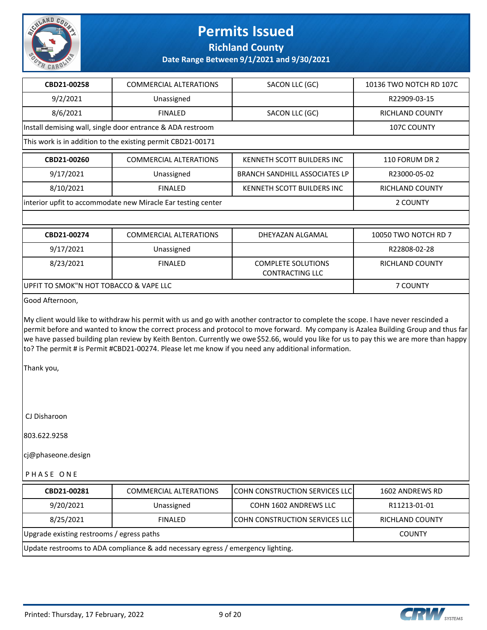

**Richland County**

**Date Range Between 9/1/2021 and 9/30/2021**

| CBD21-00258                                                  | <b>COMMERCIAL ALTERATIONS</b>                               | SACON LLC (GC)                                      | 10136 TWO NOTCH RD 107C |  |
|--------------------------------------------------------------|-------------------------------------------------------------|-----------------------------------------------------|-------------------------|--|
| 9/2/2021                                                     | Unassigned                                                  |                                                     | R22909-03-15            |  |
| 8/6/2021                                                     | <b>FINALED</b>                                              | SACON LLC (GC)                                      | RICHLAND COUNTY         |  |
|                                                              | Install demising wall, single door entrance & ADA restroom  |                                                     | <b>107C COUNTY</b>      |  |
|                                                              | This work is in addition to the existing permit CBD21-00171 |                                                     |                         |  |
| CBD21-00260                                                  | <b>COMMERCIAL ALTERATIONS</b>                               | KENNETH SCOTT BUILDERS INC                          | 110 FORUM DR 2          |  |
| 9/17/2021                                                    | Unassigned                                                  | <b>BRANCH SANDHILL ASSOCIATES LP</b>                | R23000-05-02            |  |
| 8/10/2021                                                    | <b>FINALED</b>                                              | KENNETH SCOTT BUILDERS INC                          | <b>RICHLAND COUNTY</b>  |  |
| interior upfit to accommodate new Miracle Ear testing center |                                                             |                                                     | 2 COUNTY                |  |
|                                                              |                                                             |                                                     |                         |  |
| CBD21-00274                                                  | <b>COMMERCIAL ALTERATIONS</b>                               | DHEYAZAN ALGAMAL                                    | 10050 TWO NOTCH RD 7    |  |
| 9/17/2021                                                    | Unassigned                                                  |                                                     | R22808-02-28            |  |
| 8/23/2021                                                    | <b>FINALED</b>                                              | <b>COMPLETE SOLUTIONS</b><br><b>CONTRACTING LLC</b> | <b>RICHLAND COUNTY</b>  |  |
| UPFIT TO SMOK"N HOT TOBACCO & VAPE LLC                       |                                                             |                                                     | 7 COUNTY                |  |
| Good Afternoon,                                              |                                                             |                                                     |                         |  |

My client would like to withdraw his permit with us and go with another contractor to complete the scope. I have never rescinded a permit before and wanted to know the correct process and protocol to move forward. My company is Azalea Building Group and thus far we have passed building plan review by Keith Benton. Currently we owe \$52.66, would you like for us to pay this we are more than happy to? The permit # is Permit #CBD21-00274. Please let me know if you need any additional information.

Thank you,

CJ Disharoon

803.622.9258

cj@phaseone.design

P H A S E O N E

| CBD21-00281                                                                     | <b>COMMERCIAL ALTERATIONS</b> | <b>COHN CONSTRUCTION SERVICES LLC</b> | 1602 ANDREWS RD |  |
|---------------------------------------------------------------------------------|-------------------------------|---------------------------------------|-----------------|--|
| 9/20/2021                                                                       | Unassigned                    | COHN 1602 ANDREWS LLC                 | R11213-01-01    |  |
| 8/25/2021                                                                       | <b>FINALED</b>                | <b>COHN CONSTRUCTION SERVICES LLC</b> | RICHLAND COUNTY |  |
| Upgrade existing restrooms / egress paths<br><b>COUNTY</b>                      |                               |                                       |                 |  |
| Update restrooms to ADA compliance & add necessary egress / emergency lighting. |                               |                                       |                 |  |

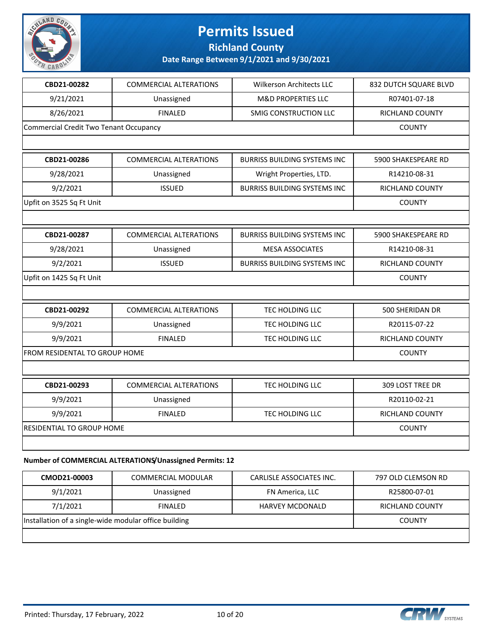

**Richland County**

**Date Range Between 9/1/2021 and 9/30/2021**

| CBD21-00282                            | <b>COMMERCIAL ALTERATIONS</b>    | Wilkerson Architects LLC            | 832 DUTCH SQUARE BLVD  |
|----------------------------------------|----------------------------------|-------------------------------------|------------------------|
| 9/21/2021                              | Unassigned                       | <b>M&amp;D PROPERTIES LLC</b>       | R07401-07-18           |
| 8/26/2021                              | <b>FINALED</b>                   | SMIG CONSTRUCTION LLC               | <b>RICHLAND COUNTY</b> |
| Commercial Credit Two Tenant Occupancy |                                  |                                     | <b>COUNTY</b>          |
|                                        |                                  |                                     |                        |
| CBD21-00286                            | <b>COMMERCIAL ALTERATIONS</b>    | <b>BURRISS BUILDING SYSTEMS INC</b> | 5900 SHAKESPEARE RD    |
| 9/28/2021                              | Unassigned                       | Wright Properties, LTD.             | R14210-08-31           |
| 9/2/2021                               | <b>ISSUED</b>                    | <b>BURRISS BUILDING SYSTEMS INC</b> | <b>RICHLAND COUNTY</b> |
| Upfit on 3525 Sq Ft Unit               |                                  |                                     | <b>COUNTY</b>          |
|                                        |                                  |                                     |                        |
| CBD21-00287                            | <b>COMMERCIAL ALTERATIONS</b>    | <b>BURRISS BUILDING SYSTEMS INC</b> | 5900 SHAKESPEARE RD    |
| 9/28/2021                              | Unassigned                       | <b>MESA ASSOCIATES</b>              | R14210-08-31           |
| 9/2/2021                               | <b>ISSUED</b>                    | <b>BURRISS BUILDING SYSTEMS INC</b> | RICHLAND COUNTY        |
| Upfit on 1425 Sq Ft Unit               |                                  |                                     | <b>COUNTY</b>          |
|                                        |                                  |                                     |                        |
| CBD21-00292                            | <b>COMMERCIAL ALTERATIONS</b>    | TEC HOLDING LLC                     | 500 SHERIDAN DR        |
| 9/9/2021                               | Unassigned                       | TEC HOLDING LLC                     | R20115-07-22           |
| 9/9/2021                               | <b>FINALED</b>                   | TEC HOLDING LLC                     | <b>RICHLAND COUNTY</b> |
| FROM RESIDENTAL TO GROUP HOME          |                                  |                                     | <b>COUNTY</b>          |
|                                        |                                  |                                     |                        |
| CBD21-00293                            | <b>COMMERCIAL ALTERATIONS</b>    | <b>TEC HOLDING LLC</b>              | 309 LOST TREE DR       |
| 9/9/2021                               | Unassigned                       |                                     | R20110-02-21           |
| 9/9/2021                               | <b>FINALED</b>                   | TEC HOLDING LLC                     | RICHLAND COUNTY        |
|                                        | <b>RESIDENTIAL TO GROUP HOME</b> |                                     |                        |
|                                        |                                  |                                     |                        |
|                                        |                                  |                                     |                        |

#### **Number of COMMERCIAL ALTERATIONS/Unassigned Permits: 12**

| CMOD21-00003                                          | COMMERCIAL MODULAR | CARLISLE ASSOCIATES INC. | 797 OLD CLEMSON RD |
|-------------------------------------------------------|--------------------|--------------------------|--------------------|
| 9/1/2021                                              | Unassigned         | FN America, LLC          | R25800-07-01       |
| 7/1/2021                                              | <b>FINALED</b>     | <b>HARVEY MCDONALD</b>   | RICHLAND COUNTY    |
| Installation of a single-wide modular office building |                    |                          | <b>COUNTY</b>      |
|                                                       |                    |                          |                    |

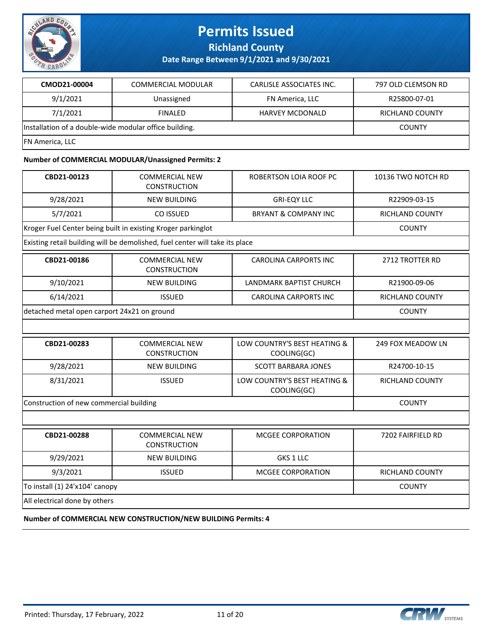

**Richland County**

**Date Range Between 9/1/2021 and 9/30/2021**

| CMOD21-00004                                           | COMMERCIAL MODULAR | CARLISLE ASSOCIATES INC. | 797 OLD CLEMSON RD     |
|--------------------------------------------------------|--------------------|--------------------------|------------------------|
| 9/1/2021                                               | Unassigned         | FN America, LLC          | R25800-07-01           |
| 7/1/2021                                               | <b>FINALED</b>     | <b>HARVEY MCDONALD</b>   | <b>RICHLAND COUNTY</b> |
| Installation of a double-wide modular office building. | <b>COUNTY</b>      |                          |                        |
| <b>FN America, LLC</b>                                 |                    |                          |                        |

#### **Number of COMMERCIAL MODULAR/Unassigned Permits: 2**

| CBD21-00123                                 | <b>COMMERCIAL NEW</b><br><b>CONSTRUCTION</b>                                 | ROBERTSON LOIA ROOF PC                      | 10136 TWO NOTCH RD     |
|---------------------------------------------|------------------------------------------------------------------------------|---------------------------------------------|------------------------|
| 9/28/2021                                   | <b>NEW BUILDING</b>                                                          | <b>GRI-EQY LLC</b>                          | R22909-03-15           |
| 5/7/2021                                    | CO ISSUED                                                                    | <b>BRYANT &amp; COMPANY INC</b>             | <b>RICHLAND COUNTY</b> |
|                                             | Kroger Fuel Center being built in existing Kroger parkinglot                 |                                             | <b>COUNTY</b>          |
|                                             | Existing retail building will be demolished, fuel center will take its place |                                             |                        |
| CBD21-00186                                 | <b>COMMERCIAL NEW</b><br><b>CONSTRUCTION</b>                                 | <b>CAROLINA CARPORTS INC</b>                | 2712 TROTTER RD        |
| 9/10/2021                                   | <b>NEW BUILDING</b>                                                          | <b>LANDMARK BAPTIST CHURCH</b>              | R21900-09-06           |
| 6/14/2021                                   | <b>ISSUED</b>                                                                | <b>CAROLINA CARPORTS INC</b>                | <b>RICHLAND COUNTY</b> |
| detached metal open carport 24x21 on ground |                                                                              |                                             | <b>COUNTY</b>          |
|                                             |                                                                              |                                             |                        |
| CBD21-00283                                 | <b>COMMERCIAL NEW</b><br><b>CONSTRUCTION</b>                                 | LOW COUNTRY'S BEST HEATING &<br>COOLING(GC) | 249 FOX MEADOW LN      |
| 9/28/2021                                   | <b>NEW BUILDING</b>                                                          | <b>SCOTT BARBARA JONES</b>                  | R24700-10-15           |
| 8/31/2021                                   | <b>ISSUED</b>                                                                | LOW COUNTRY'S BEST HEATING &<br>COOLING(GC) | <b>RICHLAND COUNTY</b> |
| Construction of new commercial building     |                                                                              |                                             | <b>COUNTY</b>          |
|                                             |                                                                              |                                             |                        |
| CBD21-00288                                 | <b>COMMERCIAL NEW</b><br><b>CONSTRUCTION</b>                                 | <b>MCGEE CORPORATION</b>                    | 7202 FAIRFIELD RD      |
| 9/29/2021                                   | <b>NEW BUILDING</b>                                                          | GKS 1 LLC                                   |                        |
| 9/3/2021                                    | <b>ISSUED</b>                                                                | MCGEE CORPORATION                           | RICHLAND COUNTY        |
| To install (1) 24'x104' canopy              |                                                                              |                                             | <b>COUNTY</b>          |
| All electrical done by others               |                                                                              |                                             |                        |

**Number of COMMERCIAL NEW CONSTRUCTION/NEW BUILDING Permits: 4**

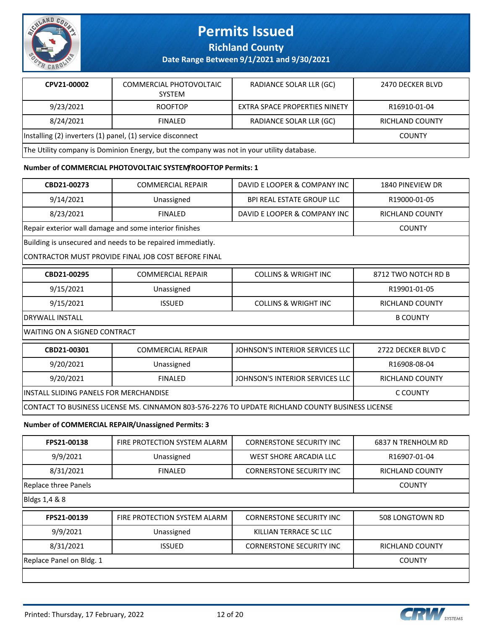

**Richland County**

**Date Range Between 9/1/2021 and 9/30/2021**

| CPV21-00002                                                                               | COMMERCIAL PHOTOVOLTAIC<br><b>SYSTEM</b> | RADIANCE SOLAR LLR (GC)       | 2470 DECKER BLVD       |
|-------------------------------------------------------------------------------------------|------------------------------------------|-------------------------------|------------------------|
| 9/23/2021                                                                                 | <b>ROOFTOP</b>                           | EXTRA SPACE PROPERTIES NINETY | R16910-01-04           |
| 8/24/2021                                                                                 | <b>FINALED</b>                           | RADIANCE SOLAR LLR (GC)       | <b>RICHLAND COUNTY</b> |
| Installing (2) inverters (1) panel, (1) service disconnect                                |                                          |                               | <b>COUNTY</b>          |
| The Utility company is Dominion Energy, but the company was not in your utility database. |                                          |                               |                        |

#### **Number of COMMERCIAL PHOTOVOLTAIC SYSTEM/ROOFTOP Permits: 1**

| CBD21-00273                                                                                      | <b>COMMERCIAL REPAIR</b>                                   | DAVID E LOOPER & COMPANY INC     | 1840 PINEVIEW DR       |  |  |
|--------------------------------------------------------------------------------------------------|------------------------------------------------------------|----------------------------------|------------------------|--|--|
| 9/14/2021                                                                                        | Unassigned                                                 | <b>BPI REAL ESTATE GROUP LLC</b> | R19000-01-05           |  |  |
| 8/23/2021                                                                                        | <b>FINALED</b>                                             | DAVID E LOOPER & COMPANY INC     | RICHLAND COUNTY        |  |  |
|                                                                                                  | Repair exterior wall damage and some interior finishes     |                                  | <b>COUNTY</b>          |  |  |
|                                                                                                  | Building is unsecured and needs to be repaired immediatly. |                                  |                        |  |  |
|                                                                                                  | ICONTRACTOR MUST PROVIDE FINAL JOB COST BEFORE FINAL       |                                  |                        |  |  |
| CBD21-00295                                                                                      | <b>COMMERCIAL REPAIR</b>                                   | <b>COLLINS &amp; WRIGHT INC</b>  | 8712 TWO NOTCH RD B    |  |  |
| 9/15/2021                                                                                        | Unassigned                                                 |                                  | R19901-01-05           |  |  |
| 9/15/2021                                                                                        | <b>ISSUED</b>                                              | <b>COLLINS &amp; WRIGHT INC</b>  | <b>RICHLAND COUNTY</b> |  |  |
| DRYWALL INSTALL                                                                                  |                                                            |                                  | <b>B COUNTY</b>        |  |  |
|                                                                                                  | WAITING ON A SIGNED CONTRACT                               |                                  |                        |  |  |
| CBD21-00301                                                                                      | <b>COMMERCIAL REPAIR</b>                                   | JOHNSON'S INTERIOR SERVICES LLC  | 2722 DECKER BLVD C     |  |  |
| 9/20/2021                                                                                        | Unassigned                                                 |                                  | R16908-08-04           |  |  |
| 9/20/2021                                                                                        | <b>FINALED</b>                                             | JOHNSON'S INTERIOR SERVICES LLC  | <b>RICHLAND COUNTY</b> |  |  |
| IINSTALL SLIDING PANELS FOR MERCHANDISE                                                          |                                                            |                                  | C COUNTY               |  |  |
| CONTACT TO BUSINESS LICENSE MS. CINNAMON 803-576-2276 TO UPDATE RICHLAND COUNTY BUSINESS LICENSE |                                                            |                                  |                        |  |  |
|                                                                                                  |                                                            |                                  |                        |  |  |

#### **Number of COMMERCIAL REPAIR/Unassigned Permits: 3**

| FPS21-00138          | FIRE PROTECTION SYSTEM ALARM | <b>CORNERSTONE SECURITY INC</b> | 6837 N TRENHOLM RD |
|----------------------|------------------------------|---------------------------------|--------------------|
| 9/9/2021             | Unassigned                   | WEST SHORE ARCADIA LLC          | R16907-01-04       |
| 8/31/2021            | <b>FINALED</b>               | <b>CORNERSTONE SECURITY INC</b> | RICHLAND COUNTY    |
| Replace three Panels |                              |                                 | <b>COUNTY</b>      |
| $I$ nialas 4 400     |                              |                                 |                    |

Bldgs 1,4 & 8

| FPS21-00139              | FIRE PROTECTION SYSTEM ALARM | <b>CORNERSTONE SECURITY INC</b> | 508 LONGTOWN RD        |
|--------------------------|------------------------------|---------------------------------|------------------------|
| 9/9/2021                 | Unassigned                   | KILLIAN TERRACE SC LLC          |                        |
| 8/31/2021                | <b>ISSUED</b>                | <b>CORNERSTONE SECURITY INC</b> | <b>RICHLAND COUNTY</b> |
| Replace Panel on Bldg. 1 |                              |                                 | <b>COUNTY</b>          |
|                          |                              |                                 |                        |

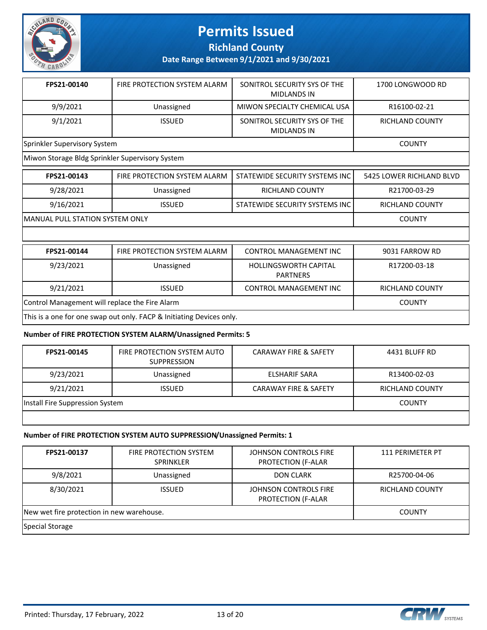

**Richland County**

**Date Range Between 9/1/2021 and 9/30/2021**

| FPS21-00140                  | FIRE PROTECTION SYSTEM ALARM | SONITROL SECURITY SYS OF THE<br><b>MIDLANDS IN</b> | 1700 LONGWOOD RD |
|------------------------------|------------------------------|----------------------------------------------------|------------------|
| 9/9/2021                     | Unassigned                   | MIWON SPECIALTY CHEMICAL USA                       | R16100-02-21     |
| 9/1/2021                     | <b>ISSUED</b>                | SONITROL SECURITY SYS OF THE<br><b>MIDLANDS IN</b> | RICHLAND COUNTY  |
| Sprinkler Supervisory System | <b>COUNTY</b>                |                                                    |                  |

Miwon Storage Bldg Sprinkler Supervisory System

| FPS21-00143                             | FIRE PROTECTION SYSTEM ALARM | STATEWIDE SECURITY SYSTEMS INC | 5425 LOWER RICHLAND BLVD |
|-----------------------------------------|------------------------------|--------------------------------|--------------------------|
| 9/28/2021                               | Unassigned                   | <b>RICHLAND COUNTY</b>         | R21700-03-29             |
| 9/16/2021                               | <b>ISSUED</b>                | STATEWIDE SECURITY SYSTEMS INC | <b>RICHLAND COUNTY</b>   |
| <b>IMANUAL PULL STATION SYSTEM ONLY</b> |                              |                                | <b>COUNTY</b>            |
|                                         |                              |                                |                          |

| FPS21-00144                                                          | FIRE PROTECTION SYSTEM ALARM | <b>CONTROL MANAGEMENT INC</b>            | 9031 FARROW RD  |
|----------------------------------------------------------------------|------------------------------|------------------------------------------|-----------------|
| 9/23/2021                                                            | Unassigned                   | HOLLINGSWORTH CAPITAL<br><b>PARTNERS</b> | R17200-03-18    |
| 9/21/2021                                                            | <b>ISSUED</b>                | <b>CONTROL MANAGEMENT INC</b>            | RICHLAND COUNTY |
| Control Management will replace the Fire Alarm                       |                              |                                          | <b>COUNTY</b>   |
| This is a one for one swap out only. FACP & Initiating Devices only. |                              |                                          |                 |

#### **Number of FIRE PROTECTION SYSTEM ALARM/Unassigned Permits: 5**

| FPS21-00145                     | FIRE PROTECTION SYSTEM AUTO<br><b>SUPPRESSION</b> | <b>CARAWAY FIRE &amp; SAFETY</b> | 4431 BLUFF RD   |
|---------------------------------|---------------------------------------------------|----------------------------------|-----------------|
| 9/23/2021                       | Unassigned                                        | ELSHARIF SARA                    | R13400-02-03    |
| 9/21/2021                       | <b>ISSUED</b>                                     | <b>CARAWAY FIRE &amp; SAFETY</b> | RICHLAND COUNTY |
| Install Fire Suppression System |                                                   |                                  | <b>COUNTY</b>   |
|                                 |                                                   |                                  |                 |

#### **Number of FIRE PROTECTION SYSTEM AUTO SUPPRESSION/Unassigned Permits: 1**

| FPS21-00137                               | FIRE PROTECTION SYSTEM<br><b>SPRINKLER</b> | JOHNSON CONTROLS FIRE<br><b>PROTECTION (F-ALAR</b> | 111 PERIMETER PT |
|-------------------------------------------|--------------------------------------------|----------------------------------------------------|------------------|
| 9/8/2021                                  | Unassigned                                 | <b>DON CLARK</b>                                   | R25700-04-06     |
| 8/30/2021                                 | <b>ISSUED</b>                              | JOHNSON CONTROLS FIRE<br><b>PROTECTION (F-ALAR</b> | RICHLAND COUNTY  |
| New wet fire protection in new warehouse. |                                            |                                                    | <b>COUNTY</b>    |
| Special Storage                           |                                            |                                                    |                  |

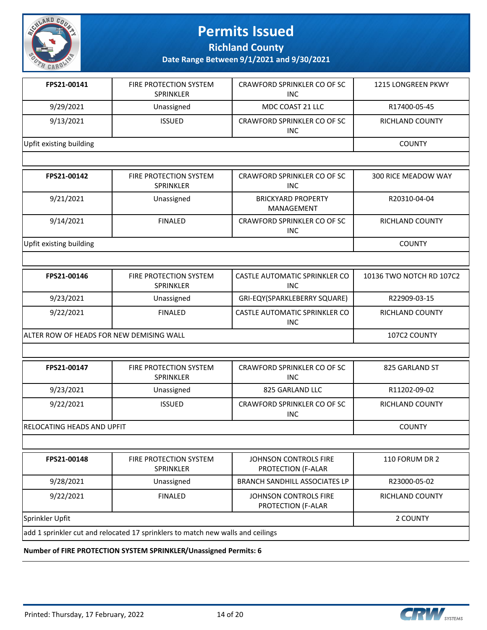

**Richland County**

**Date Range Between 9/1/2021 and 9/30/2021**

| FPS21-00141                | FIRE PROTECTION SYSTEM<br><b>SPRINKLER</b>                                      | CRAWFORD SPRINKLER CO OF SC<br><b>INC</b>   | <b>1215 LONGREEN PKWY</b> |  |  |
|----------------------------|---------------------------------------------------------------------------------|---------------------------------------------|---------------------------|--|--|
| 9/29/2021                  | Unassigned                                                                      | MDC COAST 21 LLC                            | R17400-05-45              |  |  |
| 9/13/2021                  | <b>ISSUED</b>                                                                   | CRAWFORD SPRINKLER CO OF SC<br><b>INC</b>   | RICHLAND COUNTY           |  |  |
| Upfit existing building    |                                                                                 |                                             | <b>COUNTY</b>             |  |  |
|                            |                                                                                 |                                             |                           |  |  |
| FPS21-00142                | FIRE PROTECTION SYSTEM<br>SPRINKLER                                             | CRAWFORD SPRINKLER CO OF SC<br><b>INC</b>   | 300 RICE MEADOW WAY       |  |  |
| 9/21/2021                  | Unassigned                                                                      | <b>BRICKYARD PROPERTY</b><br>MANAGEMENT     | R20310-04-04              |  |  |
| 9/14/2021                  | <b>FINALED</b>                                                                  | CRAWFORD SPRINKLER CO OF SC<br><b>INC</b>   | RICHLAND COUNTY           |  |  |
| Upfit existing building    |                                                                                 |                                             | <b>COUNTY</b>             |  |  |
|                            |                                                                                 |                                             |                           |  |  |
| FPS21-00146                | FIRE PROTECTION SYSTEM<br><b>SPRINKLER</b>                                      | CASTLE AUTOMATIC SPRINKLER CO<br><b>INC</b> | 10136 TWO NOTCH RD 107C2  |  |  |
| 9/23/2021                  | Unassigned                                                                      | GRI-EQY(SPARKLEBERRY SQUARE)                | R22909-03-15              |  |  |
| 9/22/2021                  | <b>FINALED</b>                                                                  | CASTLE AUTOMATIC SPRINKLER CO<br><b>INC</b> | RICHLAND COUNTY           |  |  |
|                            | ALTER ROW OF HEADS FOR NEW DEMISING WALL                                        |                                             |                           |  |  |
|                            |                                                                                 |                                             |                           |  |  |
| FPS21-00147                | FIRE PROTECTION SYSTEM<br>SPRINKLER                                             | CRAWFORD SPRINKLER CO OF SC<br><b>INC</b>   | 825 GARLAND ST            |  |  |
| 9/23/2021                  | Unassigned                                                                      | 825 GARLAND LLC                             | R11202-09-02              |  |  |
| 9/22/2021                  | <b>ISSUED</b>                                                                   | CRAWFORD SPRINKLER CO OF SC<br><b>INC</b>   | RICHLAND COUNTY           |  |  |
| RELOCATING HEADS AND UPFIT |                                                                                 |                                             | <b>COUNTY</b>             |  |  |
|                            |                                                                                 |                                             |                           |  |  |
| FPS21-00148                | FIRE PROTECTION SYSTEM<br>SPRINKLER                                             | JOHNSON CONTROLS FIRE<br>PROTECTION (F-ALAR | 110 FORUM DR 2            |  |  |
| 9/28/2021                  | Unassigned                                                                      | <b>BRANCH SANDHILL ASSOCIATES LP</b>        | R23000-05-02              |  |  |
| 9/22/2021                  | <b>FINALED</b>                                                                  | JOHNSON CONTROLS FIRE<br>PROTECTION (F-ALAR | RICHLAND COUNTY           |  |  |
| Sprinkler Upfit            | 2 COUNTY                                                                        |                                             |                           |  |  |
|                            | add 1 sprinkler cut and relocated 17 sprinklers to match new walls and ceilings |                                             |                           |  |  |
|                            |                                                                                 |                                             |                           |  |  |

**Number of FIRE PROTECTION SYSTEM SPRINKLER/Unassigned Permits: 6**

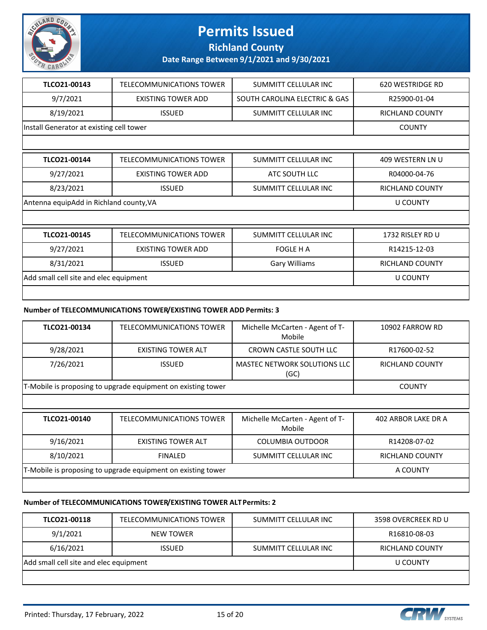

**Richland County**

**Date Range Between 9/1/2021 and 9/30/2021**

| TLCO21-00143                             | TELECOMMUNICATIONS TOWER                | SUMMITT CELLULAR INC          | 620 WESTRIDGE RD       |  |
|------------------------------------------|-----------------------------------------|-------------------------------|------------------------|--|
| 9/7/2021                                 | <b>EXISTING TOWER ADD</b>               | SOUTH CAROLINA ELECTRIC & GAS | R25900-01-04           |  |
| 8/19/2021                                | <b>ISSUED</b>                           | SUMMITT CELLULAR INC          | <b>RICHLAND COUNTY</b> |  |
| Install Generator at existing cell tower | <b>COUNTY</b>                           |                               |                        |  |
|                                          |                                         |                               |                        |  |
| TLCO21-00144                             | <b>TELECOMMUNICATIONS TOWER</b>         | SUMMITT CELLULAR INC          | 409 WESTERN LN U       |  |
| 9/27/2021                                | <b>EXISTING TOWER ADD</b>               | ATC SOUTH LLC                 | R04000-04-76           |  |
| 8/23/2021                                | <b>ISSUED</b>                           | SUMMITT CELLULAR INC          | <b>RICHLAND COUNTY</b> |  |
|                                          | Antenna equipAdd in Richland county, VA |                               |                        |  |
|                                          |                                         |                               |                        |  |
| TLCO21-00145                             | <b>TELECOMMUNICATIONS TOWER</b>         | SUMMITT CELLULAR INC          | 1732 RISLEY RD U       |  |
| 9/27/2021                                | EXISTING TOWER ADD                      | <b>FOGLE H A</b>              | R14215-12-03           |  |
| 8/31/2021                                | <b>ISSUED</b>                           | <b>Gary Williams</b>          | <b>RICHLAND COUNTY</b> |  |
| Add small cell site and elec equipment   |                                         |                               | <b>U COUNTY</b>        |  |
|                                          |                                         |                               |                        |  |

#### **Number of TELECOMMUNICATIONS TOWER/EXISTING TOWER ADD Permits: 3**

| TLCO21-00134                                                 | <b>TELECOMMUNICATIONS TOWER</b>                              | Michelle McCarten - Agent of T-<br>Mobile   | 10902 FARROW RD            |  |
|--------------------------------------------------------------|--------------------------------------------------------------|---------------------------------------------|----------------------------|--|
| 9/28/2021                                                    | <b>EXISTING TOWER ALT</b>                                    | <b>CROWN CASTLE SOUTH LLC</b>               | R17600-02-52               |  |
| 7/26/2021                                                    | <b>ISSUED</b>                                                | <b>MASTEC NETWORK SOLUTIONS LLC</b><br>(GC) | RICHLAND COUNTY            |  |
|                                                              | T-Mobile is proposing to upgrade equipment on existing tower |                                             |                            |  |
|                                                              |                                                              |                                             |                            |  |
| TLCO21-00140                                                 | <b>TELECOMMUNICATIONS TOWER</b>                              | Michelle McCarten - Agent of T-<br>Mobile   | <b>402 ARBOR LAKE DR A</b> |  |
| 9/16/2021                                                    | <b>EXISTING TOWER ALT</b>                                    | COLUMBIA OUTDOOR                            | R14208-07-02               |  |
| 8/10/2021                                                    | <b>FINALED</b>                                               | SUMMITT CELLULAR INC                        | <b>RICHLAND COUNTY</b>     |  |
| T-Mobile is proposing to upgrade equipment on existing tower |                                                              |                                             | A COUNTY                   |  |
|                                                              |                                                              |                                             |                            |  |

#### **Number of TELECOMMUNICATIONS TOWER/EXISTING TOWER ALT Permits: 2**

| TLCO21-00118                           | TELECOMMUNICATIONS TOWER | SUMMITT CELLULAR INC | 3598 OVERCREEK RD U |
|----------------------------------------|--------------------------|----------------------|---------------------|
| 9/1/2021                               | <b>NEW TOWER</b>         |                      | R16810-08-03        |
| 6/16/2021                              | <b>ISSUED</b>            | SUMMITT CELLULAR INC | RICHLAND COUNTY     |
| Add small cell site and elec equipment |                          |                      | U COUNTY            |
|                                        |                          |                      |                     |

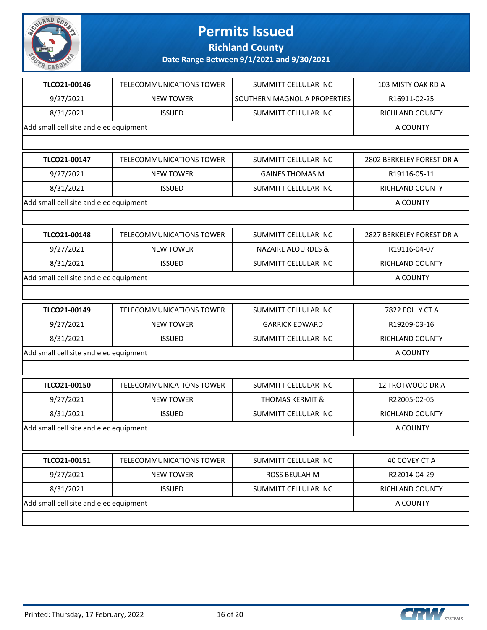

**Richland County**

| TLCO21-00146<br>9/27/2021<br>8/31/2021<br>TLCO21-00147<br>9/27/2021<br>8/31/2021<br>TLCO21-00148<br>9/27/2021<br>8/31/2021 | <b>TELECOMMUNICATIONS TOWER</b><br><b>NEW TOWER</b><br><b>ISSUED</b><br><b>TELECOMMUNICATIONS TOWER</b><br><b>NEW TOWER</b><br><b>ISSUED</b><br>TELECOMMUNICATIONS TOWER<br><b>NEW TOWER</b> | <b>SUMMITT CELLULAR INC</b><br>SOUTHERN MAGNOLIA PROPERTIES<br>SUMMITT CELLULAR INC<br>SUMMITT CELLULAR INC<br><b>GAINES THOMAS M</b><br>SUMMITT CELLULAR INC<br>SUMMITT CELLULAR INC | 103 MISTY OAK RD A<br>R16911-02-25<br><b>RICHLAND COUNTY</b><br>A COUNTY<br>2802 BERKELEY FOREST DR A<br>R19116-05-11<br>RICHLAND COUNTY<br>A COUNTY<br>2827 BERKELEY FOREST DR A |
|----------------------------------------------------------------------------------------------------------------------------|----------------------------------------------------------------------------------------------------------------------------------------------------------------------------------------------|---------------------------------------------------------------------------------------------------------------------------------------------------------------------------------------|-----------------------------------------------------------------------------------------------------------------------------------------------------------------------------------|
| Add small cell site and elec equipment<br>Add small cell site and elec equipment                                           |                                                                                                                                                                                              |                                                                                                                                                                                       |                                                                                                                                                                                   |
|                                                                                                                            |                                                                                                                                                                                              |                                                                                                                                                                                       |                                                                                                                                                                                   |
|                                                                                                                            |                                                                                                                                                                                              |                                                                                                                                                                                       |                                                                                                                                                                                   |
|                                                                                                                            |                                                                                                                                                                                              |                                                                                                                                                                                       |                                                                                                                                                                                   |
|                                                                                                                            |                                                                                                                                                                                              |                                                                                                                                                                                       |                                                                                                                                                                                   |
|                                                                                                                            |                                                                                                                                                                                              |                                                                                                                                                                                       |                                                                                                                                                                                   |
|                                                                                                                            |                                                                                                                                                                                              |                                                                                                                                                                                       |                                                                                                                                                                                   |
|                                                                                                                            |                                                                                                                                                                                              |                                                                                                                                                                                       |                                                                                                                                                                                   |
|                                                                                                                            |                                                                                                                                                                                              |                                                                                                                                                                                       |                                                                                                                                                                                   |
|                                                                                                                            |                                                                                                                                                                                              |                                                                                                                                                                                       |                                                                                                                                                                                   |
|                                                                                                                            |                                                                                                                                                                                              |                                                                                                                                                                                       |                                                                                                                                                                                   |
|                                                                                                                            |                                                                                                                                                                                              | <b>NAZAIRE ALOURDES &amp;</b>                                                                                                                                                         | R19116-04-07                                                                                                                                                                      |
|                                                                                                                            | <b>ISSUED</b>                                                                                                                                                                                | SUMMITT CELLULAR INC                                                                                                                                                                  | RICHLAND COUNTY                                                                                                                                                                   |
| Add small cell site and elec equipment                                                                                     |                                                                                                                                                                                              |                                                                                                                                                                                       | A COUNTY                                                                                                                                                                          |
|                                                                                                                            |                                                                                                                                                                                              |                                                                                                                                                                                       |                                                                                                                                                                                   |
| TLCO21-00149                                                                                                               | TELECOMMUNICATIONS TOWER                                                                                                                                                                     | SUMMITT CELLULAR INC                                                                                                                                                                  | 7822 FOLLY CT A                                                                                                                                                                   |
| 9/27/2021                                                                                                                  | <b>NEW TOWER</b>                                                                                                                                                                             | <b>GARRICK EDWARD</b>                                                                                                                                                                 | R19209-03-16                                                                                                                                                                      |
| 8/31/2021                                                                                                                  | <b>ISSUED</b>                                                                                                                                                                                | SUMMITT CELLULAR INC                                                                                                                                                                  | RICHLAND COUNTY                                                                                                                                                                   |
| Add small cell site and elec equipment                                                                                     |                                                                                                                                                                                              |                                                                                                                                                                                       | A COUNTY                                                                                                                                                                          |
|                                                                                                                            |                                                                                                                                                                                              |                                                                                                                                                                                       |                                                                                                                                                                                   |
| TLCO21-00150                                                                                                               | TELECOMMUNICATIONS TOWER                                                                                                                                                                     | SUMMITT CELLULAR INC                                                                                                                                                                  | 12 TROTWOOD DR A                                                                                                                                                                  |
| 9/27/2021                                                                                                                  | <b>NEW TOWER</b>                                                                                                                                                                             | <b>THOMAS KERMIT &amp;</b>                                                                                                                                                            | R22005-02-05                                                                                                                                                                      |
| 8/31/2021                                                                                                                  | <b>ISSUED</b>                                                                                                                                                                                | SUMMITT CELLULAR INC                                                                                                                                                                  | RICHLAND COUNTY                                                                                                                                                                   |
| Add small cell site and elec equipment                                                                                     |                                                                                                                                                                                              |                                                                                                                                                                                       | A COUNTY                                                                                                                                                                          |
|                                                                                                                            |                                                                                                                                                                                              |                                                                                                                                                                                       |                                                                                                                                                                                   |
| TLCO21-00151                                                                                                               | <b>TELECOMMUNICATIONS TOWER</b>                                                                                                                                                              | <b>SUMMITT CELLULAR INC</b>                                                                                                                                                           | 40 COVEY CT A                                                                                                                                                                     |
| 9/27/2021                                                                                                                  | <b>NEW TOWER</b>                                                                                                                                                                             | ROSS BEULAH M                                                                                                                                                                         | R22014-04-29                                                                                                                                                                      |
| 8/31/2021                                                                                                                  | <b>ISSUED</b>                                                                                                                                                                                | SUMMITT CELLULAR INC                                                                                                                                                                  | RICHLAND COUNTY                                                                                                                                                                   |
| Add small cell site and elec equipment                                                                                     |                                                                                                                                                                                              |                                                                                                                                                                                       | A COUNTY                                                                                                                                                                          |

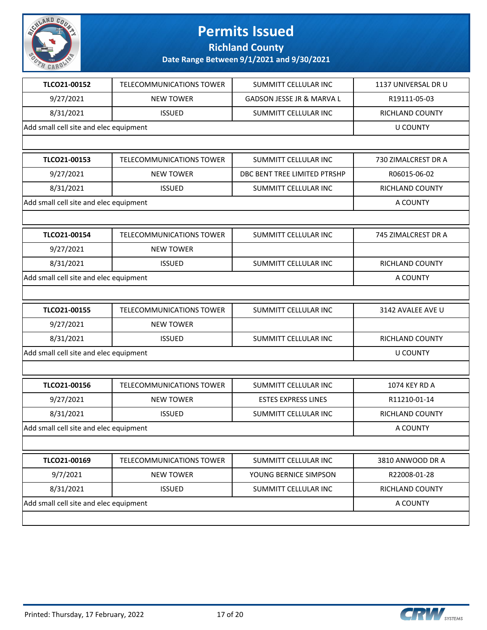

**Richland County**

| TLCO21-00152<br>9/27/2021<br>8/31/2021 | <b>TELECOMMUNICATIONS TOWER</b><br><b>NEW TOWER</b><br><b>ISSUED</b> | <b>SUMMITT CELLULAR INC</b><br>GADSON JESSE JR & MARVA L | 1137 UNIVERSAL DR U<br>R19111-05-03 |
|----------------------------------------|----------------------------------------------------------------------|----------------------------------------------------------|-------------------------------------|
| Add small cell site and elec equipment |                                                                      |                                                          |                                     |
|                                        |                                                                      |                                                          |                                     |
|                                        |                                                                      | SUMMITT CELLULAR INC                                     | <b>RICHLAND COUNTY</b>              |
|                                        |                                                                      |                                                          | <b>U COUNTY</b>                     |
|                                        |                                                                      |                                                          |                                     |
| TLCO21-00153                           | TELECOMMUNICATIONS TOWER                                             | SUMMITT CELLULAR INC                                     | 730 ZIMALCREST DR A                 |
| 9/27/2021                              | <b>NEW TOWER</b>                                                     | DBC BENT TREE LIMITED PTRSHP                             | R06015-06-02                        |
| 8/31/2021                              | <b>ISSUED</b>                                                        | SUMMITT CELLULAR INC                                     | RICHLAND COUNTY                     |
| Add small cell site and elec equipment |                                                                      |                                                          | A COUNTY                            |
|                                        |                                                                      |                                                          |                                     |
| TLCO21-00154                           | <b>TELECOMMUNICATIONS TOWER</b>                                      | SUMMITT CELLULAR INC                                     | 745 ZIMALCREST DR A                 |
| 9/27/2021                              | <b>NEW TOWER</b>                                                     |                                                          |                                     |
| 8/31/2021                              | <b>ISSUED</b>                                                        | <b>SUMMITT CELLULAR INC</b>                              | <b>RICHLAND COUNTY</b>              |
| Add small cell site and elec equipment | A COUNTY                                                             |                                                          |                                     |
|                                        |                                                                      |                                                          |                                     |
| TLCO21-00155                           | TELECOMMUNICATIONS TOWER                                             | SUMMITT CELLULAR INC                                     | 3142 AVALEE AVE U                   |
| 9/27/2021                              | <b>NEW TOWER</b>                                                     |                                                          |                                     |
| 8/31/2021                              | <b>ISSUED</b>                                                        | SUMMITT CELLULAR INC                                     | RICHLAND COUNTY                     |
| Add small cell site and elec equipment |                                                                      |                                                          | <b>U COUNTY</b>                     |
|                                        |                                                                      |                                                          |                                     |
| TLCO21-00156                           | <b>TELECOMMUNICATIONS TOWER</b>                                      | SUMMITT CELLULAR INC                                     | 1074 KEY RD A                       |
| 9/27/2021                              | <b>NEW TOWER</b>                                                     | <b>ESTES EXPRESS LINES</b>                               | R11210-01-14                        |
| 8/31/2021                              | <b>ISSUED</b>                                                        | SUMMITT CELLULAR INC                                     | RICHLAND COUNTY                     |
| Add small cell site and elec equipment |                                                                      |                                                          | A COUNTY                            |
|                                        |                                                                      |                                                          |                                     |
| TLCO21-00169                           | TELECOMMUNICATIONS TOWER                                             | SUMMITT CELLULAR INC                                     | 3810 ANWOOD DR A                    |
| 9/7/2021                               | <b>NEW TOWER</b>                                                     | YOUNG BERNICE SIMPSON                                    | R22008-01-28                        |
| 8/31/2021                              | <b>ISSUED</b>                                                        | SUMMITT CELLULAR INC                                     | RICHLAND COUNTY                     |
| Add small cell site and elec equipment |                                                                      |                                                          | A COUNTY                            |

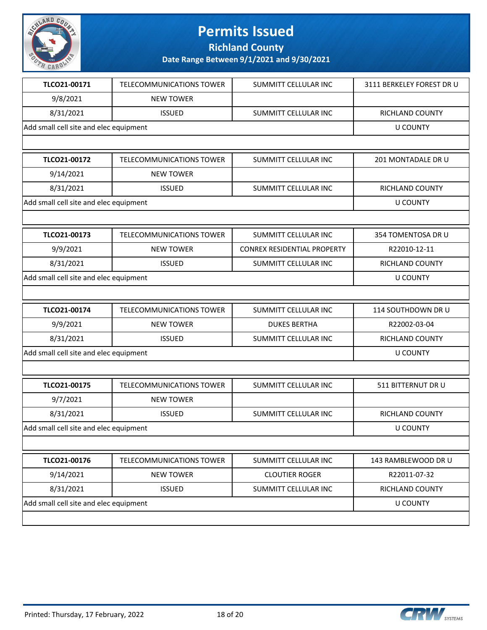

**Richland County**

| TLCO21-00171                           | <b>TELECOMMUNICATIONS TOWER</b> | <b>SUMMITT CELLULAR INC</b>        | 3111 BERKELEY FOREST DR U |
|----------------------------------------|---------------------------------|------------------------------------|---------------------------|
| 9/8/2021                               | <b>NEW TOWER</b>                |                                    |                           |
| 8/31/2021                              | <b>ISSUED</b>                   | <b>SUMMITT CELLULAR INC</b>        | <b>RICHLAND COUNTY</b>    |
| Add small cell site and elec equipment |                                 |                                    | <b>U COUNTY</b>           |
|                                        |                                 |                                    |                           |
| TLCO21-00172                           | <b>TELECOMMUNICATIONS TOWER</b> | SUMMITT CELLULAR INC               | 201 MONTADALE DR U        |
| 9/14/2021                              | <b>NEW TOWER</b>                |                                    |                           |
| 8/31/2021                              | <b>ISSUED</b>                   | SUMMITT CELLULAR INC               | RICHLAND COUNTY           |
| Add small cell site and elec equipment |                                 |                                    | <b>U COUNTY</b>           |
|                                        |                                 |                                    |                           |
| TLCO21-00173                           | <b>TELECOMMUNICATIONS TOWER</b> | SUMMITT CELLULAR INC               | 354 TOMENTOSA DR U        |
| 9/9/2021                               | <b>NEW TOWER</b>                | <b>CONREX RESIDENTIAL PROPERTY</b> | R22010-12-11              |
| 8/31/2021                              | <b>ISSUED</b>                   | <b>SUMMITT CELLULAR INC</b>        | RICHLAND COUNTY           |
| Add small cell site and elec equipment | <b>U COUNTY</b>                 |                                    |                           |
|                                        |                                 |                                    |                           |
| TLCO21-00174                           | TELECOMMUNICATIONS TOWER        | SUMMITT CELLULAR INC               | 114 SOUTHDOWN DR U        |
| 9/9/2021                               | <b>NEW TOWER</b>                | <b>DUKES BERTHA</b>                | R22002-03-04              |
| 8/31/2021                              | <b>ISSUED</b>                   | SUMMITT CELLULAR INC               | RICHLAND COUNTY           |
| Add small cell site and elec equipment |                                 |                                    | <b>U COUNTY</b>           |
|                                        |                                 |                                    |                           |
| TLCO21-00175                           | TELECOMMUNICATIONS TOWER        | SUMMITT CELLULAR INC               | 511 BITTERNUT DR U        |
| 9/7/2021                               | <b>NEW TOWER</b>                |                                    |                           |
| 8/31/2021                              | <b>ISSUED</b>                   | SUMMITT CELLULAR INC               | RICHLAND COUNTY           |
| Add small cell site and elec equipment |                                 |                                    | <b>U COUNTY</b>           |
|                                        |                                 |                                    |                           |
| TLCO21-00176                           | TELECOMMUNICATIONS TOWER        | SUMMITT CELLULAR INC               | 143 RAMBLEWOOD DR U       |
| 9/14/2021                              | <b>NEW TOWER</b>                | <b>CLOUTIER ROGER</b>              | R22011-07-32              |
| 8/31/2021                              | <b>ISSUED</b>                   | SUMMITT CELLULAR INC               | RICHLAND COUNTY           |
| Add small cell site and elec equipment |                                 |                                    | <b>U COUNTY</b>           |
|                                        |                                 |                                    |                           |

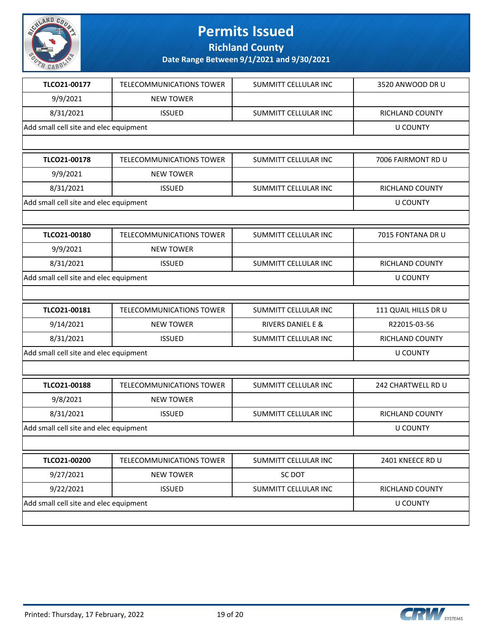

**Richland County**

| TLCO21-00177                           | TELECOMMUNICATIONS TOWER        | SUMMITT CELLULAR INC         | 3520 ANWOOD DR U     |
|----------------------------------------|---------------------------------|------------------------------|----------------------|
| 9/9/2021                               | <b>NEW TOWER</b>                |                              |                      |
| 8/31/2021                              | <b>ISSUED</b>                   | SUMMITT CELLULAR INC         | RICHLAND COUNTY      |
| Add small cell site and elec equipment |                                 |                              | <b>U COUNTY</b>      |
|                                        |                                 |                              |                      |
| TLCO21-00178                           | <b>TELECOMMUNICATIONS TOWER</b> | <b>SUMMITT CELLULAR INC</b>  | 7006 FAIRMONT RD U   |
| 9/9/2021                               | <b>NEW TOWER</b>                |                              |                      |
| 8/31/2021                              | <b>ISSUED</b>                   | SUMMITT CELLULAR INC         | RICHLAND COUNTY      |
| Add small cell site and elec equipment |                                 |                              | <b>U COUNTY</b>      |
|                                        |                                 |                              |                      |
| TLCO21-00180                           | TELECOMMUNICATIONS TOWER        | SUMMITT CELLULAR INC         | 7015 FONTANA DR U    |
| 9/9/2021                               | <b>NEW TOWER</b>                |                              |                      |
| 8/31/2021                              | <b>ISSUED</b>                   | SUMMITT CELLULAR INC         | RICHLAND COUNTY      |
| Add small cell site and elec equipment |                                 |                              | <b>U COUNTY</b>      |
|                                        |                                 |                              |                      |
| TLCO21-00181                           | TELECOMMUNICATIONS TOWER        | SUMMITT CELLULAR INC         | 111 QUAIL HILLS DR U |
| 9/14/2021                              | <b>NEW TOWER</b>                | <b>RIVERS DANIEL E &amp;</b> | R22015-03-56         |
| 8/31/2021                              | <b>ISSUED</b>                   | SUMMITT CELLULAR INC         | RICHLAND COUNTY      |
| Add small cell site and elec equipment |                                 |                              | <b>U COUNTY</b>      |
|                                        |                                 |                              |                      |
| TLCO21-00188                           | <b>TELECOMMUNICATIONS TOWER</b> | SUMMITT CELLULAR INC         | 242 CHARTWELL RD U   |
| 9/8/2021                               | <b>NEW TOWER</b>                |                              |                      |
| 8/31/2021                              | <b>ISSUED</b>                   | SUMMITT CELLULAR INC         | RICHLAND COUNTY      |
| Add small cell site and elec equipment |                                 |                              | <b>U COUNTY</b>      |
|                                        |                                 |                              |                      |
| TLCO21-00200                           | TELECOMMUNICATIONS TOWER        | SUMMITT CELLULAR INC         | 2401 KNEECE RD U     |
| 9/27/2021                              | <b>NEW TOWER</b>                | <b>SC DOT</b>                |                      |
| 9/22/2021                              | <b>ISSUED</b>                   | SUMMITT CELLULAR INC         | RICHLAND COUNTY      |
| Add small cell site and elec equipment |                                 |                              | <b>U COUNTY</b>      |
|                                        |                                 |                              |                      |